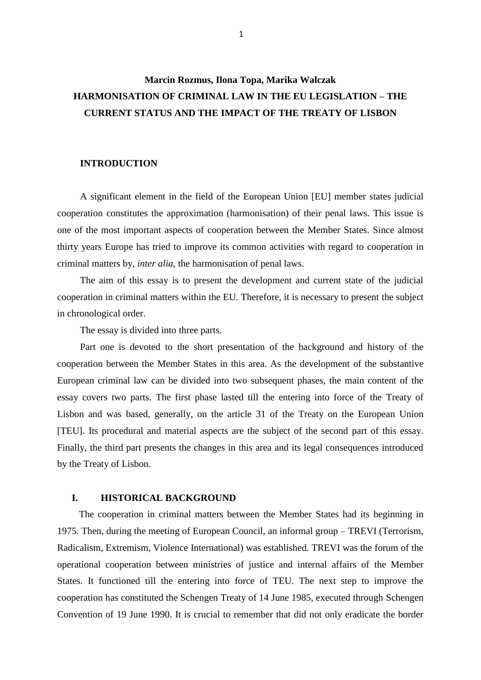# **Marcin Rozmus, Ilona Topa, Marika Walczak HARMONISATION OF CRIMINAL LAW IN THE EU LEGISLATION – THE CURRENT STATUS AND THE IMPACT OF THE TREATY OF LISBON**

### **INTRODUCTION**

A significant element in the field of the European Union [EU] member states judicial cooperation constitutes the approximation (harmonisation) of their penal laws. This issue is one of the most important aspects of cooperation between the Member States. Since almost thirty years Europe has tried to improve its common activities with regard to cooperation in criminal matters by, *inter alia*, the harmonisation of penal laws.

The aim of this essay is to present the development and current state of the judicial cooperation in criminal matters within the EU. Therefore, it is necessary to present the subject in chronological order.

The essay is divided into three parts.

Part one is devoted to the short presentation of the background and history of the cooperation between the Member States in this area. As the development of the substantive European criminal law can be divided into two subsequent phases, the main content of the essay covers two parts. The first phase lasted till the entering into force of the Treaty of Lisbon and was based, generally, on the article 31 of the Treaty on the European Union [TEU]. Its procedural and material aspects are the subject of the second part of this essay. Finally, the third part presents the changes in this area and its legal consequences introduced by the Treaty of Lisbon.

# **I. HISTORICAL BACKGROUND**

The cooperation in criminal matters between the Member States had its beginning in 1975. Then, during the meeting of European Council, an informal group – TREVI (Terrorism, Radicalism, Extremism, Violence International) was established. TREVI was the forum of the operational cooperation between ministries of justice and internal affairs of the Member States. It functioned till the entering into force of TEU. The next step to improve the cooperation has constituted the Schengen Treaty of 14 June 1985, executed through Schengen Convention of 19 June 1990. It is crucial to remember that did not only eradicate the border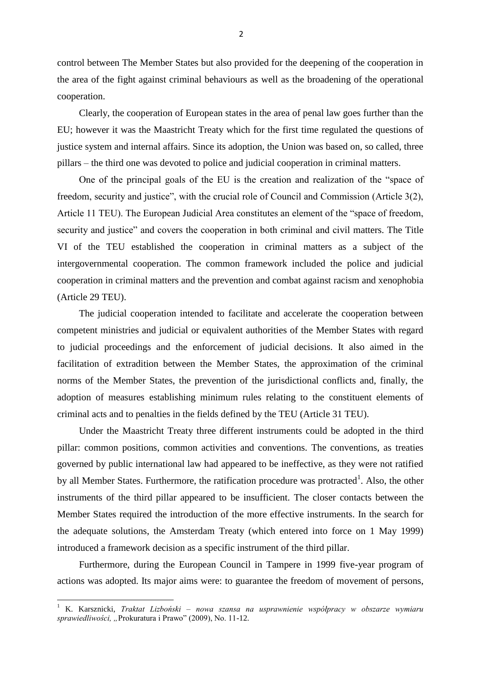control between The Member States but also provided for the deepening of the cooperation in the area of the fight against criminal behaviours as well as the broadening of the operational cooperation.

Clearly, the cooperation of European states in the area of penal law goes further than the EU; however it was the Maastricht Treaty which for the first time regulated the questions of justice system and internal affairs. Since its adoption, the Union was based on, so called, three pillars – the third one was devoted to police and judicial cooperation in criminal matters.

One of the principal goals of the EU is the creation and realization of the "space of freedom, security and justice", with the crucial role of Council and Commission (Article 3(2), Article 11 TEU). The European Judicial Area constitutes an element of the "space of freedom, security and justice" and covers the cooperation in both criminal and civil matters. The Title VI of the TEU established the cooperation in criminal matters as a subject of the intergovernmental cooperation. The common framework included the police and judicial cooperation in criminal matters and the prevention and combat against racism and xenophobia (Article 29 TEU).

The judicial cooperation intended to facilitate and accelerate the cooperation between competent ministries and judicial or equivalent authorities of the Member States with regard to judicial proceedings and the enforcement of judicial decisions. It also aimed in the facilitation of extradition between the Member States, the approximation of the criminal norms of the Member States, the prevention of the jurisdictional conflicts and, finally, the adoption of measures establishing minimum rules relating to the constituent elements of criminal acts and to penalties in the fields defined by the TEU (Article 31 TEU).

Under the Maastricht Treaty three different instruments could be adopted in the third pillar: common positions, common activities and conventions. The conventions, as treaties governed by public international law had appeared to be ineffective, as they were not ratified by all Member States. Furthermore, the ratification procedure was protracted<sup>1</sup>. Also, the other instruments of the third pillar appeared to be insufficient. The closer contacts between the Member States required the introduction of the more effective instruments. In the search for the adequate solutions, the Amsterdam Treaty (which entered into force on 1 May 1999) introduced a framework decision as a specific instrument of the third pillar.

Furthermore, during the European Council in Tampere in 1999 five-year program of actions was adopted. Its major aims were: to guarantee the freedom of movement of persons,

<sup>1</sup> K. Karsznicki, *Traktat Lizboński – nowa szansa na usprawnienie współpracy w obszarze wymiaru sprawiedliwości, "*Prokuratura i Prawo" (2009), No. 11-12.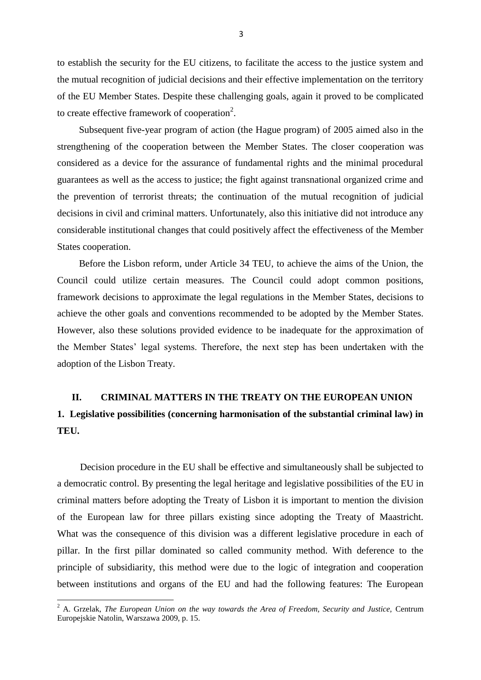to establish the security for the EU citizens, to facilitate the access to the justice system and the mutual recognition of judicial decisions and their effective implementation on the territory of the EU Member States. Despite these challenging goals, again it proved to be complicated to create effective framework of cooperation<sup>2</sup>.

Subsequent five-year program of action (the Hague program) of 2005 aimed also in the strengthening of the cooperation between the Member States. The closer cooperation was considered as a device for the assurance of fundamental rights and the minimal procedural guarantees as well as the access to justice; the fight against transnational organized crime and the prevention of terrorist threats; the continuation of the mutual recognition of judicial decisions in civil and criminal matters. Unfortunately, also this initiative did not introduce any considerable institutional changes that could positively affect the effectiveness of the Member States cooperation.

Before the Lisbon reform, under Article 34 TEU, to achieve the aims of the Union, the Council could utilize certain measures. The Council could adopt common positions, framework decisions to approximate the legal regulations in the Member States, decisions to achieve the other goals and conventions recommended to be adopted by the Member States. However, also these solutions provided evidence to be inadequate for the approximation of the Member States" legal systems. Therefore, the next step has been undertaken with the adoption of the Lisbon Treaty.

# **II. CRIMINAL MATTERS IN THE TREATY ON THE EUROPEAN UNION**

# **1. Legislative possibilities (concerning harmonisation of the substantial criminal law) in TEU.**

Decision procedure in the EU shall be effective and simultaneously shall be subjected to a democratic control. By presenting the legal heritage and legislative possibilities of the EU in criminal matters before adopting the Treaty of Lisbon it is important to mention the division of the European law for three pillars existing since adopting the Treaty of Maastricht. What was the consequence of this division was a different legislative procedure in each of pillar. In the first pillar dominated so called community method. With deference to the principle of subsidiarity, this method were due to the logic of integration and cooperation between institutions and organs of the EU and had the following features: The European

<sup>2</sup> A. Grzelak, *The European Union on the way towards the Area of Freedom, Security and Justice,* Centrum Europejskie Natolin, Warszawa 2009, p. 15.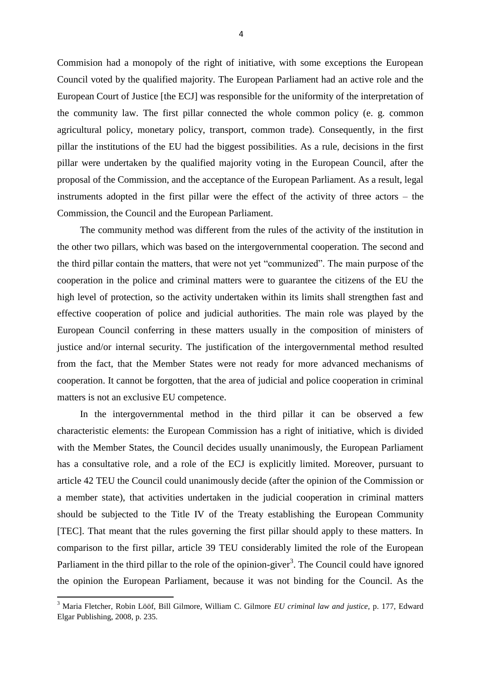Commision had a monopoly of the right of initiative, with some exceptions the European Council voted by the qualified majority. The European Parliament had an active role and the European Court of Justice [the ECJ] was responsible for the uniformity of the interpretation of the community law. The first pillar connected the whole common policy (e. g. common agricultural policy, monetary policy, transport, common trade). Consequently, in the first pillar the institutions of the EU had the biggest possibilities. As a rule, decisions in the first pillar were undertaken by the qualified majority voting in the European Council, after the proposal of the Commission, and the acceptance of the European Parliament. As a result, legal instruments adopted in the first pillar were the effect of the activity of three actors – the Commission, the Council and the European Parliament.

The community method was different from the rules of the activity of the institution in the other two pillars, which was based on the intergovernmental cooperation. The second and the third pillar contain the matters, that were not yet "communized". The main purpose of the cooperation in the police and criminal matters were to guarantee the citizens of the EU the high level of protection, so the activity undertaken within its limits shall strengthen fast and effective cooperation of police and judicial authorities. The main role was played by the European Council conferring in these matters usually in the composition of ministers of justice and/or internal security. The justification of the intergovernmental method resulted from the fact, that the Member States were not ready for more advanced mechanisms of cooperation. It cannot be forgotten, that the area of judicial and police cooperation in criminal matters is not an exclusive EU competence.

In the intergovernmental method in the third pillar it can be observed a few characteristic elements: the European Commission has a right of initiative, which is divided with the Member States, the Council decides usually unanimously, the European Parliament has a consultative role, and a role of the ECJ is explicitly limited. Moreover, pursuant to article 42 TEU the Council could unanimously decide (after the opinion of the Commission or a member state), that activities undertaken in the judicial cooperation in criminal matters should be subjected to the Title IV of the Treaty establishing the European Community [TEC]. That meant that the rules governing the first pillar should apply to these matters. In comparison to the first pillar, article 39 TEU considerably limited the role of the European Parliament in the third pillar to the role of the opinion-giver<sup>3</sup>. The Council could have ignored the opinion the European Parliament, because it was not binding for the Council. As the

<sup>3</sup> Maria Fletcher, Robin Lööf, Bill Gilmore, William C. Gilmore *EU criminal law and justice,* p. 177, Edward Elgar Publishing, 2008, p. 235.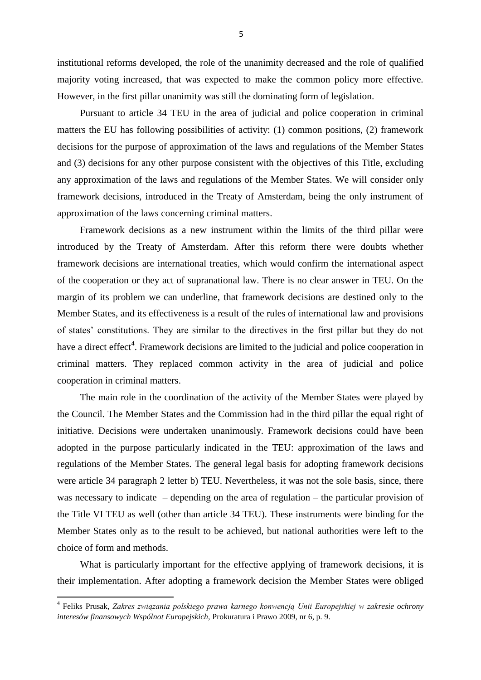institutional reforms developed, the role of the unanimity decreased and the role of qualified majority voting increased, that was expected to make the common policy more effective. However, in the first pillar unanimity was still the dominating form of legislation.

Pursuant to article 34 TEU in the area of judicial and police cooperation in criminal matters the EU has following possibilities of activity: (1) common positions, (2) framework decisions for the purpose of approximation of the laws and regulations of the Member States and (3) decisions for any other purpose consistent with the objectives of this Title, excluding any approximation of the laws and regulations of the Member States. We will consider only framework decisions, introduced in the Treaty of Amsterdam, being the only instrument of approximation of the laws concerning criminal matters.

Framework decisions as a new instrument within the limits of the third pillar were introduced by the Treaty of Amsterdam. After this reform there were doubts whether framework decisions are international treaties, which would confirm the international aspect of the cooperation or they act of supranational law. There is no clear answer in TEU. On the margin of its problem we can underline, that framework decisions are destined only to the Member States, and its effectiveness is a result of the rules of international law and provisions of states" constitutions. They are similar to the directives in the first pillar but they do not have a direct effect<sup>4</sup>. Framework decisions are limited to the judicial and police cooperation in criminal matters. They replaced common activity in the area of judicial and police cooperation in criminal matters.

The main role in the coordination of the activity of the Member States were played by the Council. The Member States and the Commission had in the third pillar the equal right of initiative. Decisions were undertaken unanimously. Framework decisions could have been adopted in the purpose particularly indicated in the TEU: approximation of the laws and regulations of the Member States. The general legal basis for adopting framework decisions were article 34 paragraph 2 letter b) TEU. Nevertheless, it was not the sole basis, since, there was necessary to indicate – depending on the area of regulation – the particular provision of the Title VI TEU as well (other than article 34 TEU). These instruments were binding for the Member States only as to the result to be achieved, but national authorities were left to the choice of form and methods.

What is particularly important for the effective applying of framework decisions, it is their implementation. After adopting a framework decision the Member States were obliged

 4 Feliks Prusak, *Zakres związania polskiego prawa karnego konwencją Unii Europejskiej w zakresie ochrony interesów finansowych Wspólnot Europejskich,* Prokuratura i Prawo 2009, nr 6, p. 9.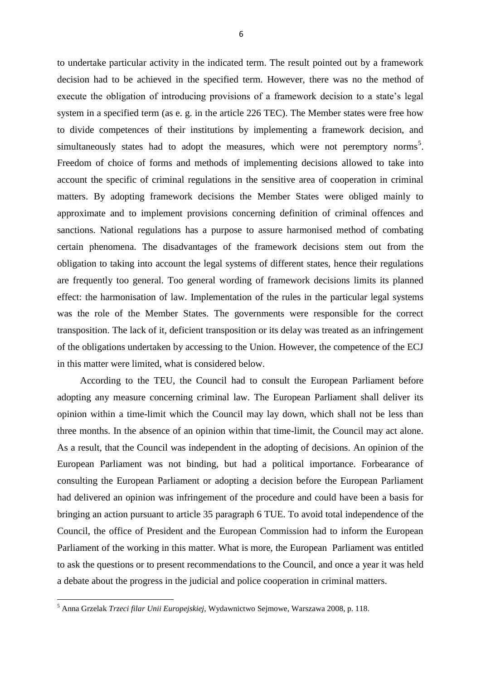to undertake particular activity in the indicated term. The result pointed out by a framework decision had to be achieved in the specified term. However, there was no the method of execute the obligation of introducing provisions of a framework decision to a state's legal system in a specified term (as e. g. in the article 226 TEC). The Member states were free how to divide competences of their institutions by implementing a framework decision, and simultaneously states had to adopt the measures, which were not peremptory norms<sup>5</sup>. Freedom of choice of forms and methods of implementing decisions allowed to take into account the specific of criminal regulations in the sensitive area of cooperation in criminal matters. By adopting framework decisions the Member States were obliged mainly to approximate and to implement provisions concerning definition of criminal offences and sanctions. National regulations has a purpose to assure harmonised method of combating certain phenomena. The disadvantages of the framework decisions stem out from the obligation to taking into account the legal systems of different states, hence their regulations are frequently too general. Too general wording of framework decisions limits its planned effect: the harmonisation of law. Implementation of the rules in the particular legal systems was the role of the Member States. The governments were responsible for the correct transposition. The lack of it, deficient transposition or its delay was treated as an infringement of the obligations undertaken by accessing to the Union. However, the competence of the ECJ in this matter were limited, what is considered below.

According to the TEU, the Council had to consult the European Parliament before adopting any measure concerning criminal law. The European Parliament shall deliver its opinion within a time-limit which the Council may lay down, which shall not be less than three months. In the absence of an opinion within that time-limit, the Council may act alone. As a result, that the Council was independent in the adopting of decisions. An opinion of the European Parliament was not binding, but had a political importance. Forbearance of consulting the European Parliament or adopting a decision before the European Parliament had delivered an opinion was infringement of the procedure and could have been a basis for bringing an action pursuant to article 35 paragraph 6 TUE. To avoid total independence of the Council, the office of President and the European Commission had to inform the European Parliament of the working in this matter. What is more, the European Parliament was entitled to ask the questions or to present recommendations to the Council, and once a year it was held a debate about the progress in the judicial and police cooperation in criminal matters.

 $\overline{\phantom{a}}$ 

<sup>5</sup> Anna Grzelak *Trzeci filar Unii Europejskiej,* Wydawnictwo Sejmowe, Warszawa 2008, p. 118.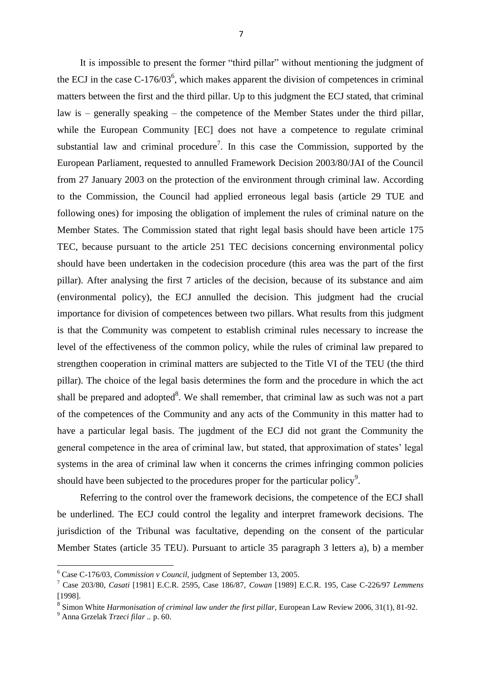It is impossible to present the former "third pillar" without mentioning the judgment of the ECJ in the case  $C-176/03^6$ , which makes apparent the division of competences in criminal matters between the first and the third pillar. Up to this judgment the ECJ stated, that criminal law is – generally speaking – the competence of the Member States under the third pillar, while the European Community [EC] does not have a competence to regulate criminal substantial law and criminal procedure<sup>7</sup>. In this case the Commission, supported by the European Parliament, requested to annulled Framework Decision 2003/80/JAI of the Council from 27 January 2003 on the protection of the environment through criminal law. According to the Commission, the Council had applied erroneous legal basis (article 29 TUE and following ones) for imposing the obligation of implement the rules of criminal nature on the Member States. The Commission stated that right legal basis should have been article 175 TEC, because pursuant to the article 251 TEC decisions concerning environmental policy should have been undertaken in the codecision procedure (this area was the part of the first pillar). After analysing the first 7 articles of the decision, because of its substance and aim (environmental policy), the ECJ annulled the decision. This judgment had the crucial importance for division of competences between two pillars. What results from this judgment is that the Community was competent to establish criminal rules necessary to increase the level of the effectiveness of the common policy, while the rules of criminal law prepared to strengthen cooperation in criminal matters are subjected to the Title VI of the TEU (the third pillar). The choice of the legal basis determines the form and the procedure in which the act shall be prepared and adopted<sup>8</sup>. We shall remember, that criminal law as such was not a part of the competences of the Community and any acts of the Community in this matter had to have a particular legal basis. The jugdment of the ECJ did not grant the Community the general competence in the area of criminal law, but stated, that approximation of states' legal systems in the area of criminal law when it concerns the crimes infringing common policies should have been subjected to the procedures proper for the particular policy<sup>9</sup>.

Referring to the control over the framework decisions, the competence of the ECJ shall be underlined. The ECJ could control the legality and interpret framework decisions. The jurisdiction of the Tribunal was facultative, depending on the consent of the particular Member States (article 35 TEU). Pursuant to article 35 paragraph 3 letters a), b) a member

 $\overline{\phantom{a}}$ 

<sup>6</sup> Case C-176/03, *Commission v Council,* judgment of September 13, 2005.

<sup>7</sup> Case 203/80, *Casati* [1981] E.C.R. 2595, Case 186/87, *Cowan* [1989] E.C.R. 195, Case C-226/97 *Lemmens*  [1998].

<sup>&</sup>lt;sup>8</sup> Simon White *Harmonisation of criminal law under the first pillar*, European Law Review 2006, 31(1), 81-92.

<sup>9</sup> Anna Grzelak *Trzeci filar ..* p. 60.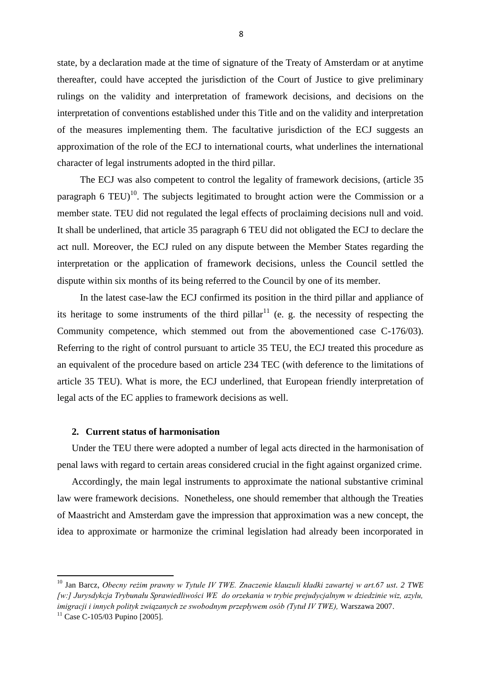state, by a declaration made at the time of signature of the Treaty of Amsterdam or at anytime thereafter, could have accepted the jurisdiction of the Court of Justice to give preliminary rulings on the validity and interpretation of framework decisions, and decisions on the interpretation of conventions established under this Title and on the validity and interpretation of the measures implementing them. The facultative jurisdiction of the ECJ suggests an approximation of the role of the ECJ to international courts, what underlines the international character of legal instruments adopted in the third pillar.

The ECJ was also competent to control the legality of framework decisions, (article 35 paragraph 6 TEU)<sup>10</sup>. The subjects legitimated to brought action were the Commission or a member state. TEU did not regulated the legal effects of proclaiming decisions null and void. It shall be underlined, that article 35 paragraph 6 TEU did not obligated the ECJ to declare the act null. Moreover, the ECJ ruled on any dispute between the Member States regarding the interpretation or the application of framework decisions, unless the Council settled the dispute within six months of its being referred to the Council by one of its member.

In the latest case-law the ECJ confirmed its position in the third pillar and appliance of its heritage to some instruments of the third pillar<sup>11</sup> (e. g. the necessity of respecting the Community competence, which stemmed out from the abovementioned case C-176/03). Referring to the right of control pursuant to article 35 TEU, the ECJ treated this procedure as an equivalent of the procedure based on article 234 TEC (with deference to the limitations of article 35 TEU). What is more, the ECJ underlined, that European friendly interpretation of legal acts of the EC applies to framework decisions as well.

# **2. Current status of harmonisation**

Under the TEU there were adopted a number of legal acts directed in the harmonisation of penal laws with regard to certain areas considered crucial in the fight against organized crime.

Accordingly, the main legal instruments to approximate the national substantive criminal law were framework decisions. Nonetheless, one should remember that although the Treaties of Maastricht and Amsterdam gave the impression that approximation was a new concept, the idea to approximate or harmonize the criminal legislation had already been incorporated in

1

<sup>10</sup> Jan Barcz, *Obecny reżim prawny w Tytule IV TWE. Znaczenie klauzuli kładki zawartej w art.67 ust. 2 TWE [w:] Jurysdykcja Trybunału Sprawiedliwości WE do orzekania w trybie prejudycjalnym w dziedzinie wiz, azylu, imigracji i innych polityk związanych ze swobodnym przepływem osób (Tytuł IV TWE),* Warszawa 2007.  $11$  Case C-105/03 Pupino [2005].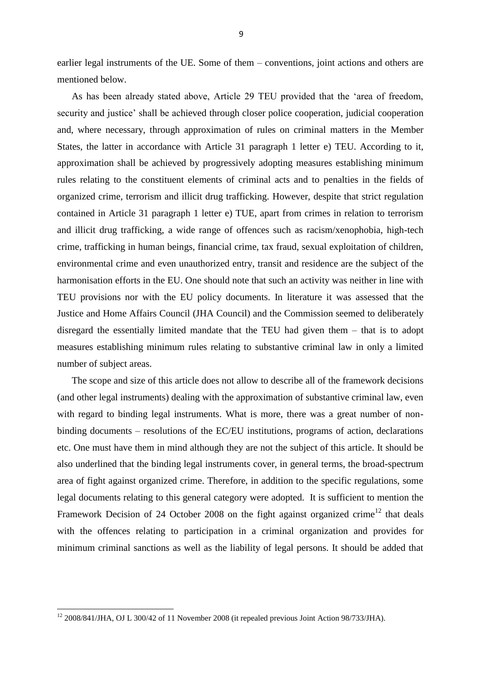earlier legal instruments of the UE. Some of them – conventions, joint actions and others are mentioned below.

As has been already stated above, Article 29 TEU provided that the "area of freedom, security and justice' shall be achieved through closer police cooperation, judicial cooperation and, where necessary, through approximation of rules on criminal matters in the Member States, the latter in accordance with Article 31 paragraph 1 letter e) TEU. According to it, approximation shall be achieved by progressively adopting measures establishing minimum rules relating to the constituent elements of criminal acts and to penalties in the fields of organized crime, terrorism and illicit drug trafficking. However, despite that strict regulation contained in Article 31 paragraph 1 letter e) TUE, apart from crimes in relation to terrorism and illicit drug trafficking, a wide range of offences such as racism/xenophobia, high-tech crime, trafficking in human beings, financial crime, tax fraud, sexual exploitation of children, environmental crime and even unauthorized entry, transit and residence are the subject of the harmonisation efforts in the EU. One should note that such an activity was neither in line with TEU provisions nor with the EU policy documents. In literature it was assessed that the Justice and Home Affairs Council (JHA Council) and the Commission seemed to deliberately disregard the essentially limited mandate that the TEU had given them – that is to adopt measures establishing minimum rules relating to substantive criminal law in only a limited number of subject areas.

The scope and size of this article does not allow to describe all of the framework decisions (and other legal instruments) dealing with the approximation of substantive criminal law, even with regard to binding legal instruments. What is more, there was a great number of nonbinding documents – resolutions of the EC/EU institutions, programs of action, declarations etc. One must have them in mind although they are not the subject of this article. It should be also underlined that the binding legal instruments cover, in general terms, the broad-spectrum area of fight against organized crime. Therefore, in addition to the specific regulations, some legal documents relating to this general category were adopted. It is sufficient to mention the Framework Decision of 24 October 2008 on the fight against organized crime<sup>12</sup> that deals with the offences relating to participation in a criminal organization and provides for minimum criminal sanctions as well as the liability of legal persons. It should be added that

 $12$  2008/841/JHA, OJ L 300/42 of 11 November 2008 (it repealed previous Joint Action 98/733/JHA).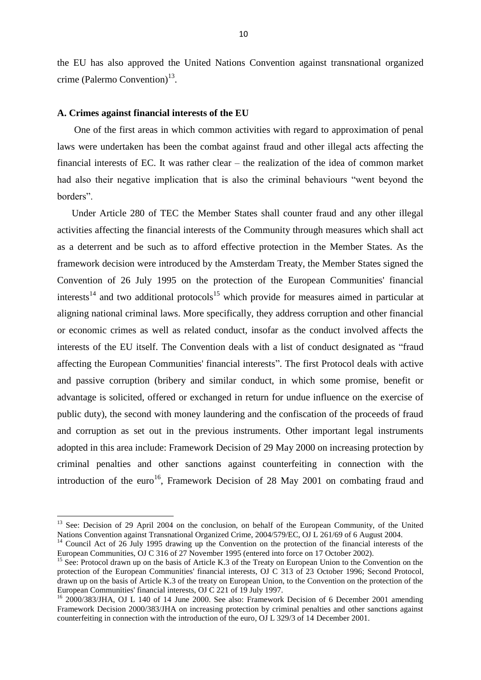the EU has also approved the United Nations Convention against transnational organized crime (Palermo Convention) $^{13}$ .

#### **A. Crimes against financial interests of the EU**

**.** 

One of the first areas in which common activities with regard to approximation of penal laws were undertaken has been the combat against fraud and other illegal acts affecting the financial interests of EC. It was rather clear – the realization of the idea of common market had also their negative implication that is also the criminal behaviours "went beyond the borders".

Under Article 280 of TEC the Member States shall counter fraud and any other illegal activities affecting the financial interests of the Community through measures which shall act as a deterrent and be such as to afford effective protection in the Member States. As the framework decision were introduced by the Amsterdam Treaty, the Member States signed the Convention of 26 July 1995 on the protection of the European Communities' financial interests<sup>14</sup> and two additional protocols<sup>15</sup> which provide for measures aimed in particular at aligning national criminal laws. More specifically, they address corruption and other financial or economic crimes as well as related conduct, insofar as the conduct involved affects the interests of the EU itself. The Convention deals with a list of conduct designated as "fraud affecting the European Communities' financial interests". The first Protocol deals with active and passive corruption (bribery and similar conduct, in which some promise, benefit or advantage is solicited, offered or exchanged in return for undue influence on the exercise of public duty), the second with money laundering and the confiscation of the proceeds of fraud and corruption as set out in the previous instruments. Other important legal instruments adopted in this area include: Framework Decision of 29 May 2000 on increasing protection by criminal penalties and other sanctions against counterfeiting in connection with the introduction of the euro<sup>16</sup>, Framework Decision of 28 May 2001 on combating fraud and

<sup>&</sup>lt;sup>13</sup> See: Decision of 29 April 2004 on the conclusion, on behalf of the European Community, of the United Nations Convention against Transnational Organized Crime, 2004/579/EC, OJ L 261/69 of 6 August 2004.

<sup>&</sup>lt;sup>14</sup> Council Act of 26 July 1995 drawing up the Convention on the protection of the financial interests of the European Communities, OJ C 316 of 27 November 1995 (entered into force on 17 October 2002).

<sup>&</sup>lt;sup>15</sup> See: Protocol drawn up on the basis of Article K.3 of the Treaty on European Union to the Convention on the protection of the European Communities' financial interests, OJ C 313 of 23 October 1996; Second Protocol, drawn up on the basis of Article K.3 of the treaty on European Union, to the Convention on the protection of the European Communities' financial interests, OJ C 221 of 19 July 1997.

<sup>&</sup>lt;sup>16</sup> 2000/383/JHA, OJ L 140 of 14 June 2000. See also: Framework Decision of 6 December 2001 amending Framework Decision 2000/383/JHA on increasing protection by criminal penalties and other sanctions against counterfeiting in connection with the introduction of the euro, OJ L 329/3 of 14 December 2001.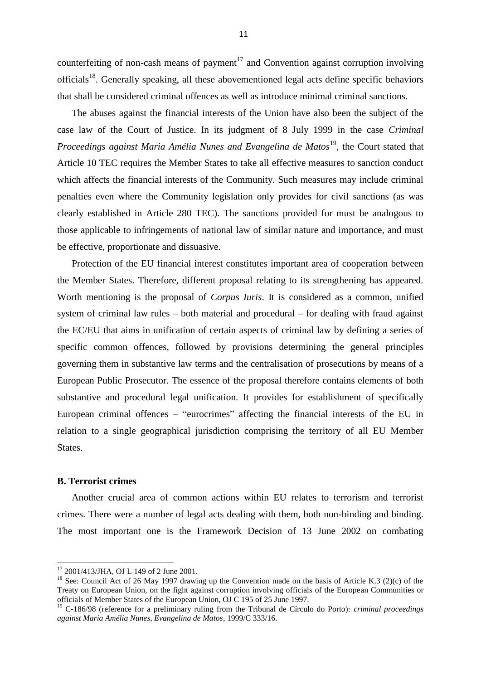counterfeiting of non-cash means of payment<sup>17</sup> and Convention against corruption involving officials<sup>18</sup>. Generally speaking, all these abovementioned legal acts define specific behaviors that shall be considered criminal offences as well as introduce minimal criminal sanctions.

The abuses against the financial interests of the Union have also been the subject of the case law of the Court of Justice. In its judgment of 8 July 1999 in the case *Criminal Proceedings against Maria Amélia Nunes and Evangelina de Matos*<sup>19</sup>, the Court stated that Article 10 TEC requires the Member States to take all effective measures to sanction conduct which affects the financial interests of the Community. Such measures may include criminal penalties even where the Community legislation only provides for civil sanctions (as was clearly established in Article 280 TEC). The sanctions provided for must be analogous to those applicable to infringements of national law of similar nature and importance, and must be effective, proportionate and dissuasive.

Protection of the EU financial interest constitutes important area of cooperation between the Member States. Therefore, different proposal relating to its strengthening has appeared. Worth mentioning is the proposal of *Corpus Iuris*. It is considered as a common, unified system of criminal law rules – both material and procedural – for dealing with fraud against the EC/EU that aims in unification of certain aspects of criminal law by defining a series of specific common offences, followed by provisions determining the general principles governing them in substantive law terms and the centralisation of prosecutions by means of a European Public Prosecutor. The essence of the proposal therefore contains elements of both substantive and procedural legal unification. It provides for establishment of specifically European criminal offences – "eurocrimes" affecting the financial interests of the EU in relation to a single geographical jurisdiction comprising the territory of all EU Member States.

# **B. Terrorist crimes**

 $\overline{\phantom{a}}$ 

Another crucial area of common actions within EU relates to terrorism and terrorist crimes. There were a number of legal acts dealing with them, both non-binding and binding. The most important one is the Framework Decision of 13 June 2002 on combating

<sup>&</sup>lt;sup>17</sup> 2001/413/JHA, OJ L 149 of 2 June 2001.

<sup>&</sup>lt;sup>18</sup> See: Council Act of 26 May 1997 drawing up the Convention made on the basis of Article K.3 (2)(c) of the Treaty on European Union, on the fight against corruption involving officials of the European Communities or officials of Member States of the European Union, OJ C 195 of 25 June 1997.

<sup>19</sup> C-186/98 (reference for a preliminary ruling from the Tribunal de Círculo do Porto): *criminal proceedings against Maria Amélia Nunes, Evangelina de Matos*, 1999/C 333/16.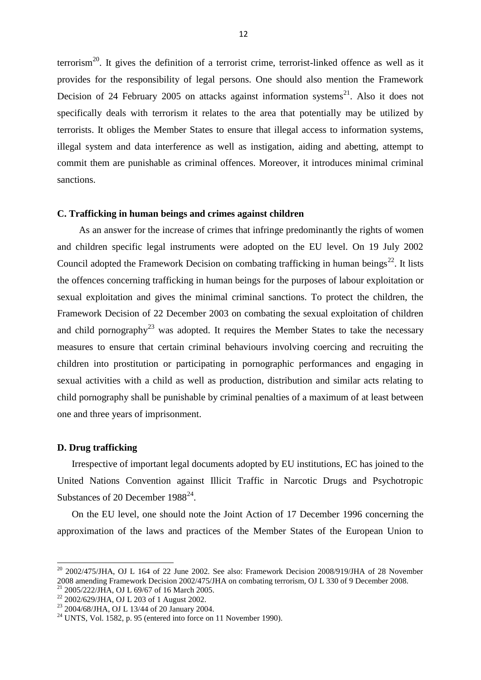terrorism<sup>20</sup>. It gives the definition of a terrorist crime, terrorist-linked offence as well as it provides for the responsibility of legal persons. One should also mention the Framework Decision of 24 February 2005 on attacks against information systems<sup>21</sup>. Also it does not specifically deals with terrorism it relates to the area that potentially may be utilized by terrorists. It obliges the Member States to ensure that illegal access to information systems, illegal system and data interference as well as instigation, aiding and abetting, attempt to commit them are punishable as criminal offences. Moreover, it introduces minimal criminal sanctions.

### **C. Trafficking in human beings and crimes against children**

As an answer for the increase of crimes that infringe predominantly the rights of women and children specific legal instruments were adopted on the EU level. On 19 July 2002 Council adopted the Framework Decision on combating trafficking in human beings<sup>22</sup>. It lists the offences concerning trafficking in human beings for the purposes of labour exploitation or sexual exploitation and gives the minimal criminal sanctions. To protect the children, the Framework Decision of 22 December 2003 on combating the sexual exploitation of children and child pornography<sup>23</sup> was adopted. It requires the Member States to take the necessary measures to ensure that certain criminal behaviours involving coercing and recruiting the children into prostitution or participating in pornographic performances and engaging in sexual activities with a child as well as production, distribution and similar acts relating to child pornography shall be punishable by criminal penalties of a maximum of at least between one and three years of imprisonment.

# **D. Drug trafficking**

 $\overline{\phantom{a}}$ 

Irrespective of important legal documents adopted by EU institutions, EC has joined to the United Nations Convention against Illicit Traffic in Narcotic Drugs and Psychotropic Substances of 20 December  $1988^{24}$ .

On the EU level, one should note the Joint Action of 17 December 1996 concerning the approximation of the laws and practices of the Member States of the European Union to

 $^{20}$  2002/475/JHA, OJ L 164 of 22 June 2002. See also: Framework Decision 2008/919/JHA of 28 November 2008 amending Framework Decision 2002/475/JHA on combating terrorism, OJ L 330 of 9 December 2008.

<sup>21</sup> 2005/222/JHA, OJ L 69/67 of 16 March 2005.

<sup>22</sup> 2002/629/JHA, OJ L 203 of 1 August 2002.

<sup>23</sup> 2004/68/JHA, OJ L 13/44 of 20 January 2004.

 $^{24}$  UNTS, Vol. 1582, p. 95 (entered into force on 11 November 1990).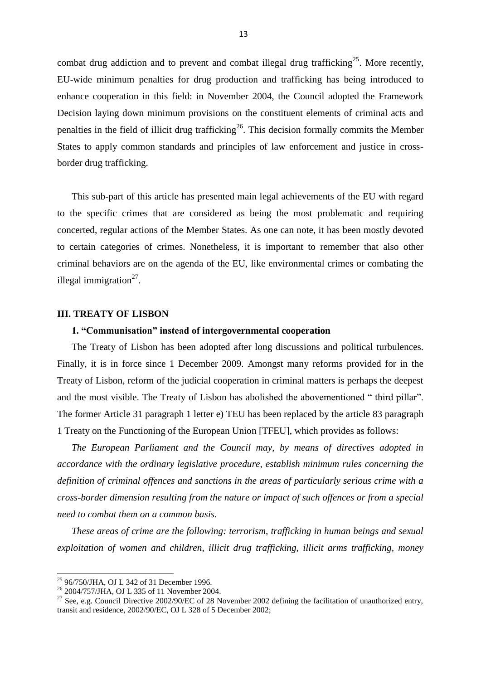combat drug addiction and to prevent and combat illegal drug trafficking<sup>25</sup>. More recently, EU-wide minimum penalties for drug production and trafficking has being introduced to enhance cooperation in this field: in November 2004, the Council adopted the Framework Decision laying down minimum provisions on the constituent elements of criminal acts and penalties in the field of illicit drug trafficking<sup>26</sup>. This decision formally commits the Member States to apply common standards and principles of law enforcement and justice in crossborder drug trafficking.

This sub-part of this article has presented main legal achievements of the EU with regard to the specific crimes that are considered as being the most problematic and requiring concerted, regular actions of the Member States. As one can note, it has been mostly devoted to certain categories of crimes. Nonetheless, it is important to remember that also other criminal behaviors are on the agenda of the EU, like environmental crimes or combating the illegal immigration $27$ .

## **III. TREATY OF LISBON**

### **1. "Communisation" instead of intergovernmental cooperation**

The Treaty of Lisbon has been adopted after long discussions and political turbulences. Finally, it is in force since 1 December 2009. Amongst many reforms provided for in the Treaty of Lisbon, reform of the judicial cooperation in criminal matters is perhaps the deepest and the most visible. The Treaty of Lisbon has abolished the abovementioned " third pillar". The former Article 31 paragraph 1 letter e) TEU has been replaced by the article 83 paragraph 1 Treaty on the Functioning of the European Union [TFEU], which provides as follows:

*The European Parliament and the Council may, by means of directives adopted in accordance with the ordinary legislative procedure, establish minimum rules concerning the definition of criminal offences and sanctions in the areas of particularly serious crime with a cross-border dimension resulting from the nature or impact of such offences or from a special need to combat them on a common basis.* 

*These areas of crime are the following: terrorism, trafficking in human beings and sexual exploitation of women and children, illicit drug trafficking, illicit arms trafficking, money* 

<sup>&</sup>lt;sup>25</sup> 96/750/JHA, OJ L 342 of 31 December 1996.

<sup>&</sup>lt;sup>26</sup> 2004/757/JHA, OJ L 335 of 11 November 2004.

<sup>&</sup>lt;sup>27</sup> See, e.g. Council Directive 2002/90/EC of 28 November 2002 defining the facilitation of unauthorized entry, transit and residence, 2002/90/EC, OJ L 328 of 5 December 2002;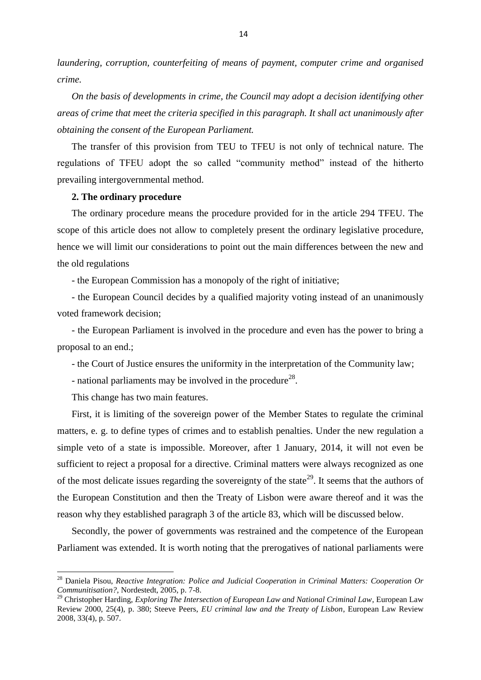*laundering, corruption, counterfeiting of means of payment, computer crime and organised crime.*

*On the basis of developments in crime, the Council may adopt a decision identifying other areas of crime that meet the criteria specified in this paragraph. It shall act unanimously after obtaining the consent of the European Parliament.*

The transfer of this provision from TEU to TFEU is not only of technical nature. The regulations of TFEU adopt the so called "community method" instead of the hitherto prevailing intergovernmental method.

## **2. The ordinary procedure**

The ordinary procedure means the procedure provided for in the article 294 TFEU. The scope of this article does not allow to completely present the ordinary legislative procedure, hence we will limit our considerations to point out the main differences between the new and the old regulations

- the European Commission has a monopoly of the right of initiative;

- the European Council decides by a qualified majority voting instead of an unanimously voted framework decision;

- the European Parliament is involved in the procedure and even has the power to bring a proposal to an end.;

- the Court of Justice ensures the uniformity in the interpretation of the Community law;

- national parliaments may be involved in the procedure<sup>28</sup>.

This change has two main features.

**.** 

First, it is limiting of the sovereign power of the Member States to regulate the criminal matters, e. g. to define types of crimes and to establish penalties. Under the new regulation a simple veto of a state is impossible. Moreover, after 1 January, 2014, it will not even be sufficient to reject a proposal for a directive. Criminal matters were always recognized as one of the most delicate issues regarding the sovereignty of the state<sup>29</sup>. It seems that the authors of the European Constitution and then the Treaty of Lisbon were aware thereof and it was the reason why they established paragraph 3 of the article 83, which will be discussed below.

Secondly, the power of governments was restrained and the competence of the European Parliament was extended. It is worth noting that the prerogatives of national parliaments were

<sup>28</sup> Daniela Pisou, *Reactive Integration: Police and Judicial Cooperation in Criminal Matters: Cooperation Or Communitisation?*, Nordestedt, 2005, p. 7-8.

<sup>29</sup> Christopher Harding, *Exploring The Intersection of European Law and National Criminal Law*, European Law Review 2000, 25(4), p. 380; Steeve Peers, *EU criminal law and the Treaty of Lisbon*, European Law Review 2008, 33(4), p. 507.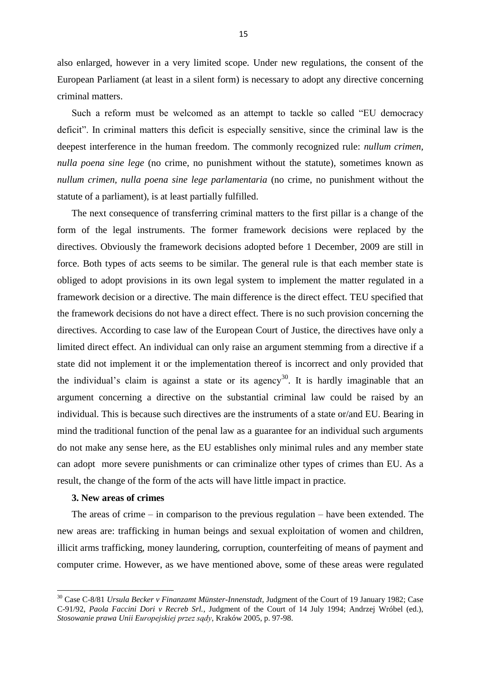also enlarged, however in a very limited scope. Under new regulations, the consent of the European Parliament (at least in a silent form) is necessary to adopt any directive concerning criminal matters.

Such a reform must be welcomed as an attempt to tackle so called "EU democracy deficit". In criminal matters this deficit is especially sensitive, since the criminal law is the deepest interference in the human freedom. The commonly recognized rule: *nullum crimen, nulla poena sine lege* (no crime, no punishment without the statute), sometimes known as *nullum crimen, nulla poena sine lege parlamentaria* (no crime, no punishment without the statute of a parliament), is at least partially fulfilled.

The next consequence of transferring criminal matters to the first pillar is a change of the form of the legal instruments. The former framework decisions were replaced by the directives. Obviously the framework decisions adopted before 1 December, 2009 are still in force. Both types of acts seems to be similar. The general rule is that each member state is obliged to adopt provisions in its own legal system to implement the matter regulated in a framework decision or a directive. The main difference is the direct effect. TEU specified that the framework decisions do not have a direct effect. There is no such provision concerning the directives. According to case law of the European Court of Justice, the directives have only a limited direct effect. An individual can only raise an argument stemming from a directive if a state did not implement it or the implementation thereof is incorrect and only provided that the individual's claim is against a state or its agency<sup>30</sup>. It is hardly imaginable that an argument concerning a directive on the substantial criminal law could be raised by an individual. This is because such directives are the instruments of a state or/and EU. Bearing in mind the traditional function of the penal law as a guarantee for an individual such arguments do not make any sense here, as the EU establishes only minimal rules and any member state can adopt more severe punishments or can criminalize other types of crimes than EU. As a result, the change of the form of the acts will have little impact in practice.

# **3. New areas of crimes**

1

The areas of crime – in comparison to the previous regulation – have been extended. The new areas are: trafficking in human beings and sexual exploitation of women and children, illicit arms trafficking, money laundering, corruption, counterfeiting of means of payment and computer crime. However, as we have mentioned above, some of these areas were regulated

<sup>30</sup> Case C-8/81 *Ursula Becker v Finanzamt Münster-Innenstadt*, Judgment of the Court of 19 January 1982; Case C-91/92, *Paola Faccini Dori v Recreb Srl.*, Judgment of the Court of 14 July 1994; Andrzej Wróbel (ed.), *Stosowanie prawa Unii Europejskiej przez sądy*, Kraków 2005, p. 97-98.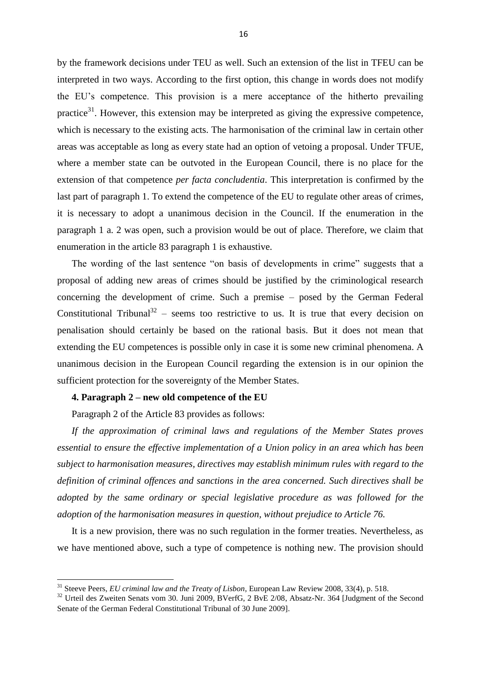by the framework decisions under TEU as well. Such an extension of the list in TFEU can be interpreted in two ways. According to the first option, this change in words does not modify the EU"s competence. This provision is a mere acceptance of the hitherto prevailing practice<sup>31</sup>. However, this extension may be interpreted as giving the expressive competence, which is necessary to the existing acts. The harmonisation of the criminal law in certain other areas was acceptable as long as every state had an option of vetoing a proposal. Under TFUE, where a member state can be outvoted in the European Council, there is no place for the extension of that competence *per facta concludentia*. This interpretation is confirmed by the last part of paragraph 1. To extend the competence of the EU to regulate other areas of crimes, it is necessary to adopt a unanimous decision in the Council. If the enumeration in the paragraph 1 a. 2 was open, such a provision would be out of place. Therefore, we claim that enumeration in the article 83 paragraph 1 is exhaustive.

The wording of the last sentence "on basis of developments in crime" suggests that a proposal of adding new areas of crimes should be justified by the criminological research concerning the development of crime. Such a premise – posed by the German Federal Constitutional Tribunal<sup>32</sup> – seems too restrictive to us. It is true that every decision on penalisation should certainly be based on the rational basis. But it does not mean that extending the EU competences is possible only in case it is some new criminal phenomena. A unanimous decision in the European Council regarding the extension is in our opinion the sufficient protection for the sovereignty of the Member States.

#### **4. Paragraph 2 – new old competence of the EU**

Paragraph 2 of the Article 83 provides as follows:

 $\overline{\phantom{a}}$ 

*If the approximation of criminal laws and regulations of the Member States proves essential to ensure the effective implementation of a Union policy in an area which has been subject to harmonisation measures, directives may establish minimum rules with regard to the definition of criminal offences and sanctions in the area concerned. Such directives shall be adopted by the same ordinary or special legislative procedure as was followed for the adoption of the harmonisation measures in question, without prejudice to Article 76.*

It is a new provision, there was no such regulation in the former treaties. Nevertheless, as we have mentioned above, such a type of competence is nothing new. The provision should

<sup>31</sup> Steeve Peers, *EU criminal law and the Treaty of Lisbon*, European Law Review 2008, 33(4), p. 518.

<sup>&</sup>lt;sup>32</sup> Urteil des Zweiten Senats vom 30. Juni 2009, BVerfG, 2 BvE 2/08, Absatz-Nr. 364 [Judgment of the Second Senate of the German Federal Constitutional Tribunal of 30 June 2009].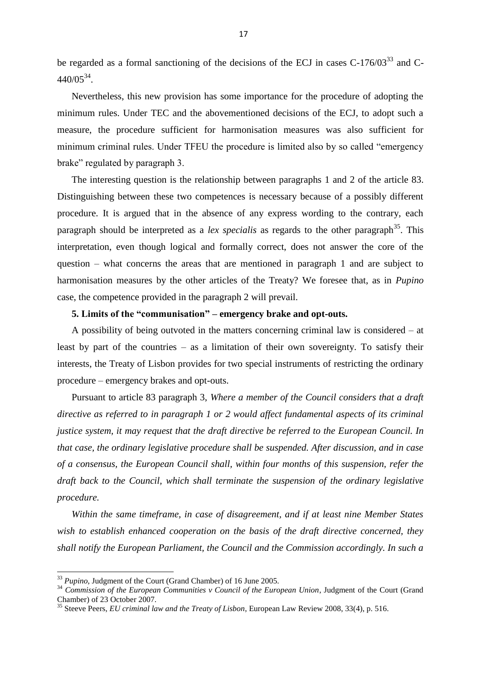be regarded as a formal sanctioning of the decisions of the ECJ in cases  $C-176/03^{33}$  and  $C 440/05^{34}$ .

Nevertheless, this new provision has some importance for the procedure of adopting the minimum rules. Under TEC and the abovementioned decisions of the ECJ, to adopt such a measure, the procedure sufficient for harmonisation measures was also sufficient for minimum criminal rules. Under TFEU the procedure is limited also by so called "emergency brake" regulated by paragraph 3.

The interesting question is the relationship between paragraphs 1 and 2 of the article 83. Distinguishing between these two competences is necessary because of a possibly different procedure. It is argued that in the absence of any express wording to the contrary, each paragraph should be interpreted as a *lex specialis* as regards to the other paragraph<sup>35</sup>. This interpretation, even though logical and formally correct, does not answer the core of the question – what concerns the areas that are mentioned in paragraph 1 and are subject to harmonisation measures by the other articles of the Treaty? We foresee that, as in *Pupino* case, the competence provided in the paragraph 2 will prevail.

# **5. Limits of the "communisation" – emergency brake and opt-outs.**

A possibility of being outvoted in the matters concerning criminal law is considered – at least by part of the countries – as a limitation of their own sovereignty. To satisfy their interests, the Treaty of Lisbon provides for two special instruments of restricting the ordinary procedure – emergency brakes and opt-outs.

Pursuant to article 83 paragraph 3, *Where a member of the Council considers that a draft directive as referred to in paragraph 1 or 2 would affect fundamental aspects of its criminal justice system, it may request that the draft directive be referred to the European Council. In that case, the ordinary legislative procedure shall be suspended. After discussion, and in case of a consensus, the European Council shall, within four months of this suspension, refer the draft back to the Council, which shall terminate the suspension of the ordinary legislative procedure.*

*Within the same timeframe, in case of disagreement, and if at least nine Member States wish to establish enhanced cooperation on the basis of the draft directive concerned, they shall notify the European Parliament, the Council and the Commission accordingly. In such a* 

<sup>33</sup> *Pupino*, Judgment of the Court (Grand Chamber) of 16 June 2005.

<sup>34</sup> *Commission of the European Communities v Council of the European Union*, Judgment of the Court (Grand Chamber) of 23 October 2007.

<sup>35</sup> Steeve Peers, *EU criminal law and the Treaty of Lisbon*, European Law Review 2008, 33(4), p. 516.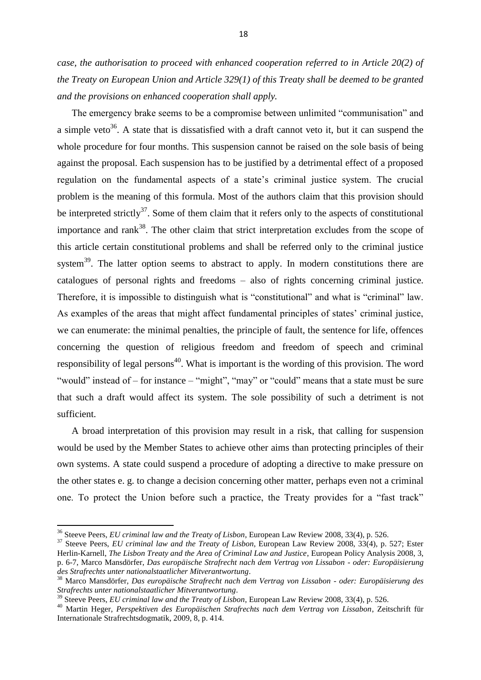*case, the authorisation to proceed with enhanced cooperation referred to in Article 20(2) of the Treaty on European Union and Article 329(1) of this Treaty shall be deemed to be granted and the provisions on enhanced cooperation shall apply.*

The emergency brake seems to be a compromise between unlimited "communisation" and a simple veto<sup>36</sup>. A state that is dissatisfied with a draft cannot veto it, but it can suspend the whole procedure for four months. This suspension cannot be raised on the sole basis of being against the proposal. Each suspension has to be justified by a detrimental effect of a proposed regulation on the fundamental aspects of a state"s criminal justice system. The crucial problem is the meaning of this formula. Most of the authors claim that this provision should be interpreted strictly<sup>37</sup>. Some of them claim that it refers only to the aspects of constitutional importance and rank<sup>38</sup>. The other claim that strict interpretation excludes from the scope of this article certain constitutional problems and shall be referred only to the criminal justice system<sup>39</sup>. The latter option seems to abstract to apply. In modern constitutions there are catalogues of personal rights and freedoms – also of rights concerning criminal justice. Therefore, it is impossible to distinguish what is "constitutional" and what is "criminal" law. As examples of the areas that might affect fundamental principles of states' criminal justice, we can enumerate: the minimal penalties, the principle of fault, the sentence for life, offences concerning the question of religious freedom and freedom of speech and criminal responsibility of legal persons<sup>40</sup>. What is important is the wording of this provision. The word "would" instead of – for instance – "might", "may" or "could" means that a state must be sure that such a draft would affect its system. The sole possibility of such a detriment is not sufficient.

A broad interpretation of this provision may result in a risk, that calling for suspension would be used by the Member States to achieve other aims than protecting principles of their own systems. A state could suspend a procedure of adopting a directive to make pressure on the other states e. g. to change a decision concerning other matter, perhaps even not a criminal one. To protect the Union before such a practice, the Treaty provides for a "fast track"

 $\overline{\phantom{a}}$ 

<sup>36</sup> Steeve Peers, *EU criminal law and the Treaty of Lisbon*, European Law Review 2008, 33(4), p. 526.

<sup>37</sup> Steeve Peers, *EU criminal law and the Treaty of Lisbon*, European Law Review 2008, 33(4), p. 527; Ester Herlin-Karnell, *The Lisbon Treaty and the Area of Criminal Law and Justice*, European Policy Analysis 2008, 3, p. 6-7, Marco Mansdörfer, *Das europäische Strafrecht nach dem Vertrag von Lissabon - oder: Europäisierung des Strafrechts unter nationalstaatlicher Mitverantwortung*.

<sup>38</sup> Marco Mansdörfer, *Das europäische Strafrecht nach dem Vertrag von Lissabon - oder: Europäisierung des Strafrechts unter nationalstaatlicher Mitverantwortung*.

<sup>39</sup> Steeve Peers, *EU criminal law and the Treaty of Lisbon*, European Law Review 2008, 33(4), p. 526.

<sup>40</sup> Martin Heger, *Perspektiven des Europäischen Strafrechts nach dem Vertrag von Lissabon*, Zeitschrift für Internationale Strafrechtsdogmatik, 2009, 8, p. 414.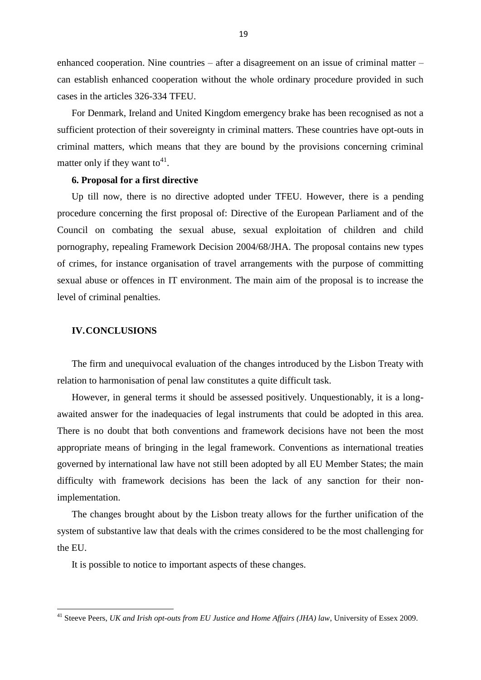enhanced cooperation. Nine countries – after a disagreement on an issue of criminal matter – can establish enhanced cooperation without the whole ordinary procedure provided in such cases in the articles 326-334 TFEU.

For Denmark, Ireland and United Kingdom emergency brake has been recognised as not a sufficient protection of their sovereignty in criminal matters. These countries have opt-outs in criminal matters, which means that they are bound by the provisions concerning criminal matter only if they want to<sup>41</sup>.

## **6. Proposal for a first directive**

Up till now, there is no directive adopted under TFEU. However, there is a pending procedure concerning the first proposal of: Directive of the European Parliament and of the Council on combating the sexual abuse, sexual exploitation of children and child pornography, repealing Framework Decision 2004/68/JHA. The proposal contains new types of crimes, for instance organisation of travel arrangements with the purpose of committing sexual abuse or offences in IT environment. The main aim of the proposal is to increase the level of criminal penalties.

## **IV.CONCLUSIONS**

**.** 

The firm and unequivocal evaluation of the changes introduced by the Lisbon Treaty with relation to harmonisation of penal law constitutes a quite difficult task.

However, in general terms it should be assessed positively. Unquestionably, it is a longawaited answer for the inadequacies of legal instruments that could be adopted in this area. There is no doubt that both conventions and framework decisions have not been the most appropriate means of bringing in the legal framework. Conventions as international treaties governed by international law have not still been adopted by all EU Member States; the main difficulty with framework decisions has been the lack of any sanction for their nonimplementation.

The changes brought about by the Lisbon treaty allows for the further unification of the system of substantive law that deals with the crimes considered to be the most challenging for the EU.

It is possible to notice to important aspects of these changes.

<sup>41</sup> Steeve Peers, *UK and Irish opt-outs from EU Justice and Home Affairs (JHA) law*, University of Essex 2009.